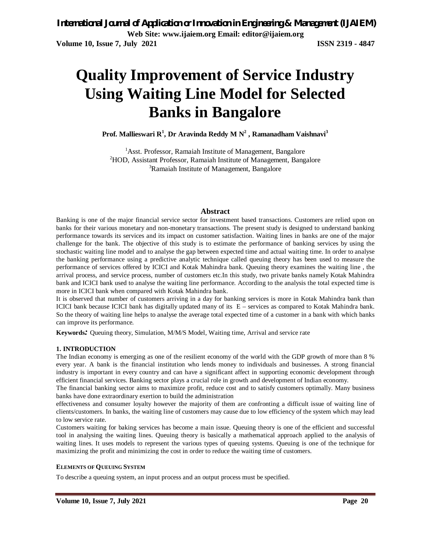# **Quality Improvement of Service Industry Using Waiting Line Model for Selected Banks in Bangalore**

**Prof. Mallieswari R<sup>1</sup> , Dr Aravinda Reddy M N<sup>2</sup> , Ramanadham Vaishnavi<sup>3</sup>**

<sup>1</sup>Asst. Professor, Ramaiah Institute of Management, Bangalore <sup>2</sup>HOD, Assistant Professor, Ramaiah Institute of Management, Bangalore <sup>3</sup>Ramaiah Institute of Management, Bangalore

#### **Abstract**

Banking is one of the major financial service sector for investment based transactions. Customers are relied upon on banks for their various monetary and non-monetary transactions. The present study is designed to understand banking performance towards its services and its impact on customer satisfaction. Waiting lines in banks are one of the major challenge for the bank. The objective of this study is to estimate the performance of banking services by using the stochastic waiting line model and to analyse the gap between expected time and actual waiting time. In order to analyse the banking performance using a predictive analytic technique called queuing theory has been used to measure the performance of services offered by ICICI and Kotak Mahindra bank. Queuing theory examines the waiting line , the arrival process, and service process, number of customers etc.In this study, two private banks namely Kotak Mahindra bank and ICICI bank used to analyse the waiting line performance. According to the analysis the total expected time is more in ICICI bank when compared with Kotak Mahindra bank.

It is observed that number of customers arriving in a day for banking services is more in Kotak Mahindra bank than ICICI bank because ICICI bank has digitally updated many of its E – services as compared to Kotak Mahindra bank. So the theory of waiting line helps to analyse the average total expected time of a customer in a bank with which banks can improve its performance.

**Keywords***:* Queuing theory, Simulation, M/M/S Model, Waiting time, Arrival and service rate

#### **1. INTRODUCTION**

The Indian economy is emerging as one of the resilient economy of the world with the GDP growth of more than 8 % every year. A bank is the financial institution who lends money to individuals and businesses. A strong financial industry is important in every country and can have a significant affect in supporting economic development through efficient financial services. Banking sector plays a crucial role in growth and development of Indian economy.

The financial banking sector aims to maximize profit, reduce cost and to satisfy customers optimally. Many business banks have done extraordinary exertion to build the administration

effectiveness and consumer loyalty however the majority of them are confronting a difficult issue of waiting line of clients/customers. In banks, the waiting line of customers may cause due to low efficiency of the system which may lead to low service rate.

Customers waiting for baking services has become a main issue. Queuing theory is one of the efficient and successful tool in analysing the waiting lines. Queuing theory is basically a mathematical approach applied to the analysis of waiting lines. It uses models to represent the various types of queuing systems. Queuing is one of the technique for maximizing the profit and minimizing the cost in order to reduce the waiting time of customers.

#### **ELEMENTS OF QUEUING SYSTEM**

To describe a queuing system, an input process and an output process must be specified.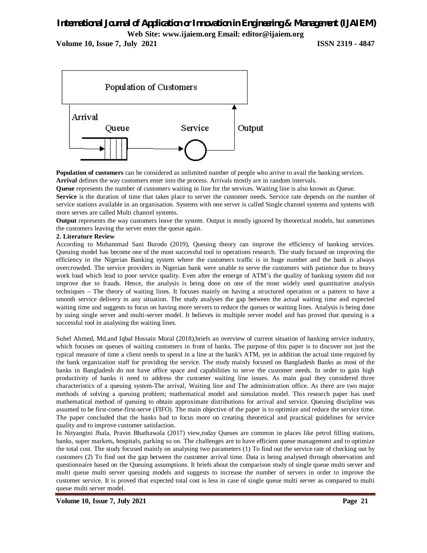# *International Journal of Application or Innovation in Engineering & Management (IJAIEM)*

**Web Site: www.ijaiem.org Email: editor@ijaiem.org**

**Volume 10, Issue 7, July 2021 ISSN 2319 - 4847** 



**Population of customers** can be considered as unlimited number of people who arrive to avail the banking services. **Arrival** defines the way customers enter into the process. Arrivals mostly are in random intervals.

**Queue** represents the number of customers waiting in line for the services. Waiting line is also known as Queue.

**Service** is the duration of time that takes place to server the customer needs. Service rate depends on the number of service stations available in an organisation. Systems with one server is called Single channel systems and systems with more serves are called Multi channel systems.

**Output** represents the way customers leave the system. Output is mostly ignored by theoretical models, but sometimes the customers leaving the server enter the queue again.

#### **2. Literature Review**

According to Muhammad Sani Burodo (2019), Queuing theory can improve the efficiency of banking services. Queuing model has become one of the most successful tool in operations research. The study focused on improving the efficiency in the Nigerian Banking system where the customers traffic is in huge number and the bank is always overcrowded. The service providers in Nigerian bank were unable to serve the customers with patience due to heavy work load which lead to poor service quality. Even after the emerge of ATM's the quality of banking system did not improve due to frauds. Hence, the analysis is being done on one of the most widely used quantitative analysis techniques – The theory of waiting lines. It focuses mainly on having a structured operation or a pattern to have a smooth service delivery in any situation. The study analyses the gap between the actual waiting time and expected waiting time and suggests to focus on having more servers to reduce the queues or waiting lines. Analysis is being done by using single server and multi-server model. It believes in multiple server model and has proved that queuing is a successful tool in analysing the waiting lines.

Suhel Ahmed, Md.and Iqbal Hossain Moral (2018),briefs an overview of current situation of banking service industry, which focuses on queues of waiting customers in front of banks. The purpose of this paper is to discover not just the typical measure of time a client needs to spend in a line at the bank's ATM, yet in addition the actual time required by the bank organization staff for providing the service. The study mainly focused on Bangladesh Banks as most of the banks in Bangladesh do not have office space and capabilities to serve the customer needs. In order to gain high productivity of banks it need to address the customer waiting line issues. As main goal they considered three characteristics of a queuing system-The arrival, Waiting line and The administration office. As there are two major methods of solving a queuing problem; mathematical model and simulation model. This research paper has used mathematical method of queuing to obtain approximate distributions for arrival and service. Queuing discipline was assumed to be first-come-first-serve (FIFO). The main objective of the paper is to optimize and reduce the service time. The paper concluded that the banks had to focus more on creating theoretical and practical guidelines for service quality and to improve customer satisfaction.

In Nityangini Jhala, Pravin Bhathawala (2017) view,today Queues are common in places like petrol filling stations, banks, super markets, hospitals, parking so on. The challenges are to have efficient queue management and to optimize the total cost. The study focused mainly on analysing two parameters (1) To find out the service rate of checking out by customers (2) To find out the gap between the customer arrival time. Data is being analysed through observation and questionnaire based on the Queuing assumptions. It briefs about the comparison study of single queue multi server and multi queue multi server queuing models and suggests to increase the number of servers in order to improve the customer service. It is proved that expected total cost is less in case of single queue multi server as compared to multi queue multi server model.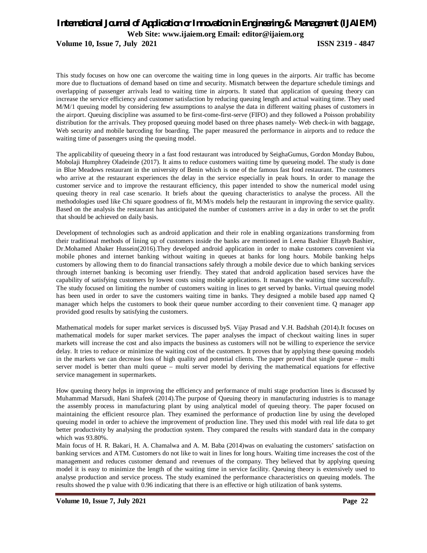**Volume 10, Issue 7, July 2021 ISSN 2319 - 4847** 

This study focuses on how one can overcome the waiting time in long queues in the airports. Air traffic has become more due to fluctuations of demand based on time and security. Mismatch between the departure schedule timings and overlapping of passenger arrivals lead to waiting time in airports. It stated that application of queuing theory can increase the service efficiency and customer satisfaction by reducing queuing length and actual waiting time. They used M/M/1 queuing model by considering few assumptions to analyse the data in different waiting phases of customers in the airport. Queuing discipline was assumed to be first-come-first-serve (FIFO) and they followed a Poisson probability distribution for the arrivals. They proposed queuing model based on three phases namely- Web check-in with baggage, Web security and mobile barcoding for boarding. The paper measured the performance in airports and to reduce the waiting time of passengers using the queuing model.

The applicability of queueing theory in a fast food restaurant was introduced by SeighaGumus, Gordon Monday Bubou, Mobolaji Humphrey Oladeinde (2017). It aims to reduce customers waiting time by queueing model. The study is done in Blue Meadows restaurant in the university of Benin which is one of the famous fast food restaurant. The customers who arrive at the restaurant experiences the delay in the service especially in peak hours. In order to manage the customer service and to improve the restaurant efficiency, this paper intended to show the numerical model using queuing theory in real case scenario. It briefs about the queuing characteristics to analyse the process. All the methodologies used like Chi square goodness of fit, M/M/s models help the restaurant in improving the service quality. Based on the analysis the restaurant has anticipated the number of customers arrive in a day in order to set the profit that should be achieved on daily basis.

Development of technologies such as android application and their role in enabling organizations transforming from their traditional methods of lining up of customers inside the banks are mentioned in Leena Bashier Eltayeb Bashier, Dr.Mohamed Abaker Hussein(2016).They developed android application in order to make customers convenient via mobile phones and internet banking without waiting in queues at banks for long hours. Mobile banking helps customers by allowing them to do financial transactions safely through a mobile device due to which banking services through internet banking is becoming user friendly. They stated that android application based services have the capability of satisfying customers by lowest costs using mobile applications. It manages the waiting time successfully. The study focused on limiting the number of customers waiting in lines to get served by banks. Virtual queuing model has been used in order to save the customers waiting time in banks. They designed a mobile based app named Q manager which helps the customers to book their queue number according to their convenient time. Q manager app provided good results by satisfying the customers.

Mathematical models for super market services is discussed byS. Vijay Prasad and V.H. Badshah (2014).It focuses on mathematical models for super market services. The paper analyses the impact of checkout waiting lines in super markets will increase the cost and also impacts the business as customers will not be willing to experience the service delay. It tries to reduce or minimize the waiting cost of the customers. It proves that by applying these queuing models in the markets we can decrease loss of high quality and potential clients. The paper proved that single queue – multi server model is better than multi queue – multi server model by deriving the mathematical equations for effective service management in supermarkets.

How queuing theory helps in improving the efficiency and performance of multi stage production lines is discussed by Muhammad Marsudi, Hani Shafeek (2014).The purpose of Queuing theory in manufacturing industries is to manage the assembly process in manufacturing plant by using analytical model of queuing theory. The paper focused on maintaining the efficient resource plan. They examined the performance of production line by using the developed queuing model in order to achieve the improvement of production line. They used this model with real life data to get better productivity by analysing the production system. They compared the results with standard data in the company which was 93.80%.

Main focus of H. R. Bakari, H. A. Chamalwa and A. M. Baba (2014)was on evaluating the customers' satisfaction on banking services and ATM. Customers do not like to wait in lines for long hours. Waiting time increases the cost of the management and reduces customer demand and revenues of the company. They believed that by applying queuing model it is easy to minimize the length of the waiting time in service facility. Queuing theory is extensively used to analyse production and service process. The study examined the performance characteristics on queuing models. The results showed the p value with 0.96 indicating that there is an effective or high utilization of bank systems.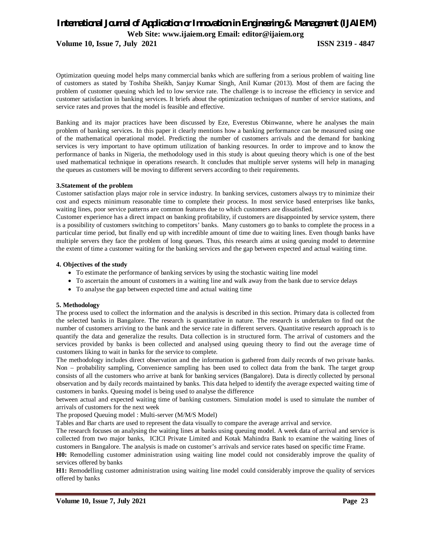**Volume 10, Issue 7, July 2021 ISSN 2319 - 4847** 

Optimization queuing model helps many commercial banks which are suffering from a serious problem of waiting line of customers as stated by Toshiba Sheikh, Sanjay Kumar Singh, Anil Kumar (2013). Most of them are facing the problem of customer queuing which led to low service rate. The challenge is to increase the efficiency in service and customer satisfaction in banking services. It briefs about the optimization techniques of number of service stations, and service rates and proves that the model is feasible and effective.

Banking and its major practices have been discussed by Eze, Everestus Obinwanne, where he analyses the main problem of banking services. In this paper it clearly mentions how a banking performance can be measured using one of the mathematical operational model. Predicting the number of customers arrivals and the demand for banking services is very important to have optimum utilization of banking resources. In order to improve and to know the performance of banks in Nigeria, the methodology used in this study is about queuing theory which is one of the best used mathematical technique in operations research. It concludes that multiple server systems will help in managing the queues as customers will be moving to different servers according to their requirements.

#### **3.Statement of the problem**

Customer satisfaction plays major role in service industry. In banking services, customers always try to minimize their cost and expects minimum reasonable time to complete their process. In most service based enterprises like banks, waiting lines, poor service patterns are common features due to which customers are dissatisfied.

Customer experience has a direct impact on banking profitability, if customers are disappointed by service system, there is a possibility of customers switching to competitors' banks. Many customers go to banks to complete the process in a particular time period, but finally end up with incredible amount of time due to waiting lines. Even though banks have multiple servers they face the problem of long queues. Thus, this research aims at using queuing model to determine the extent of time a customer waiting for the banking services and the gap between expected and actual waiting time.

#### **4. Objectives of the study**

- To estimate the performance of banking services by using the stochastic waiting line model
- To ascertain the amount of customers in a waiting line and walk away from the bank due to service delays
- To analyse the gap between expected time and actual waiting time

#### **5. Methodology**

The process used to collect the information and the analysis is described in this section. Primary data is collected from the selected banks in Bangalore. The research is quantitative in nature. The research is undertaken to find out the number of customers arriving to the bank and the service rate in different servers. Quantitative research approach is to quantify the data and generalize the results. Data collection is in structured form. The arrival of customers and the services provided by banks is been collected and analysed using queuing theory to find out the average time of customers liking to wait in banks for the service to complete.

The methodology includes direct observation and the information is gathered from daily records of two private banks. Non – probability sampling, Convenience sampling has been used to collect data from the bank. The target group consists of all the customers who arrive at bank for banking services (Bangalore). Data is directly collected by personal observation and by daily records maintained by banks. This data helped to identify the average expected waiting time of customers in banks. Queuing model is being used to analyse the difference

between actual and expected waiting time of banking customers. Simulation model is used to simulate the number of arrivals of customers for the next week

The proposed Queuing model : Multi-server (M/M/S Model)

Tables and Bar charts are used to represent the data visually to compare the average arrival and service.

The research focuses on analysing the waiting lines at banks using queuing model. A week data of arrival and service is collected from two major banks, ICICI Private Limited and Kotak Mahindra Bank to examine the waiting lines of customers in Bangalore. The analysis is made on customer's arrivals and service rates based on specific time Frame.

**H0:** Remodelling customer administration using waiting line model could not considerably improve the quality of services offered by banks

**H1:** Remodelling customer administration using waiting line model could considerably improve the quality of services offered by banks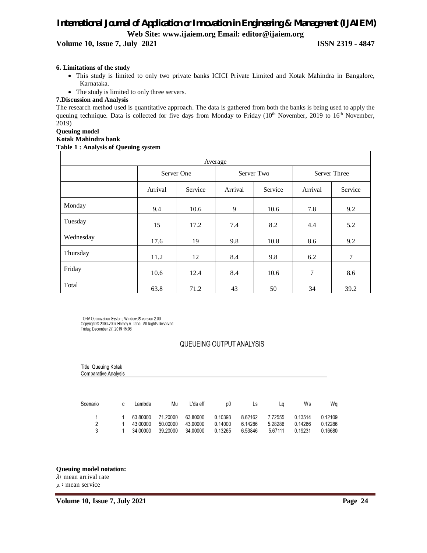**Volume 10, Issue 7, July 2021 ISSN 2319 - 4847** 

#### **6. Limitations of the study**

- This study is limited to only two private banks ICICI Private Limited and Kotak Mahindra in Bangalore, Karnataka.
- The study is limited to only three servers.

#### **7.Discussion and Analysis**

The research method used is quantitative approach. The data is gathered from both the banks is being used to apply the queuing technique. Data is collected for five days from Monday to Friday (10<sup>th</sup> November, 2019 to 16<sup>th</sup> November, 2019)

#### **Queuing model**

#### **Kotak Mahindra bank**

#### **Table 1 : Analysis of Queuing system**

| Average   |         |            |            |         |              |         |  |  |
|-----------|---------|------------|------------|---------|--------------|---------|--|--|
|           |         | Server One | Server Two |         | Server Three |         |  |  |
|           | Arrival | Service    | Arrival    | Service | Arrival      | Service |  |  |
| Monday    | 9.4     | 10.6       | 9          | 10.6    | 7.8          | 9.2     |  |  |
| Tuesday   | 15      | 17.2       | 7.4        | 8.2     | 4.4          | 5.2     |  |  |
| Wednesday | 17.6    | 19         | 9.8        | 10.8    | 8.6          | 9.2     |  |  |
| Thursday  | 11.2    | 12         | 8.4        | 9.8     | 6.2          | $\tau$  |  |  |
| Friday    | 10.6    | 12.4       | 8.4        | 10.6    | 7            | 8.6     |  |  |
| Total     | 63.8    | 71.2       | 43         | 50      | 34           | 39.2    |  |  |

TORA Optimization System, Windows®-version 2.00<br>Copyright © 2000-2007 Hamdy A. Taha. All Rights Reserved<br>Friday, December 27, 2019 15:08

#### QUEUEING OUTPUT ANALYSIS

| Title: Queuing Kotak<br>Comparative Analysis |   |                                  |                                  |                                  |                               |                               |                               |                               |                               |
|----------------------------------------------|---|----------------------------------|----------------------------------|----------------------------------|-------------------------------|-------------------------------|-------------------------------|-------------------------------|-------------------------------|
| Scenario                                     | C | Lambda                           | Mu                               | L'da eff                         | p0                            | Ls                            | Lq                            | Ws                            | Wq                            |
| 1<br>$\overline{2}$<br>3                     |   | 63.80000<br>43.00000<br>34.00000 | 71.20000<br>50.00000<br>39.20000 | 63.80000<br>43.00000<br>34.00000 | 0.10393<br>0.14000<br>0.13265 | 8.62162<br>6.14286<br>6.53846 | 7.72555<br>5.28286<br>5.67111 | 0.13514<br>0.14286<br>0.19231 | 0.12109<br>0.12286<br>0.16680 |

#### **Queuing model notation:**

 $\lambda$ : mean arrival rate

μ ∶ mean service

**Volume 10, Issue 7, July 2021 Page 24**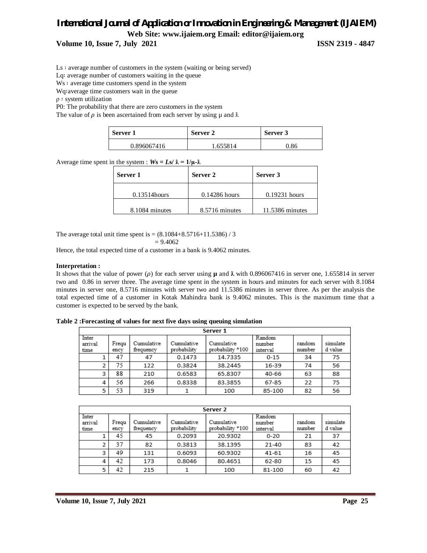**Volume 10, Issue 7, July 2021 ISSN 2319 - 4847** 

Ls ∶ average number of customers in the system (waiting or being served)

Lq∶ average number of customers waiting in the queue

Ws ∶ average time customers spend in the system

Wq∶average time customers wait in the queue

ρ ∶ system utilization

P0: The probability that there are zero customers in the system

The value of  $\rho$  is been ascertained from each server by using  $\mu$  and  $\lambda$ 

| Server 1    | Server 2 | Server 3 |  |  |
|-------------|----------|----------|--|--|
| 0.896067416 | .655814  | 0.86     |  |  |

Average time spent in the system :  $W_s = Ls / \lambda = 1/\mu \lambda$ 

| Server 1        | Server 2        | Server 3        |  |
|-----------------|-----------------|-----------------|--|
| $0.13514$ hours | $0.14286$ hours | $0.19231$ hours |  |
| 8.1084 minutes  | 8.5716 minutes  | 11.5386 minutes |  |

The average total unit time spent is =  $(8.1084 + 8.5716 + 11.5386) / 3$ 

$$
=9.4062
$$

Hence, the total expected time of a customer in a bank is 9.4062 minutes.

#### **Interpretation :**

It shows that the value of power ( $\rho$ ) for each server using **µ** and  $\lambda$  with 0.896067416 in server one, 1.655814 in server two and 0.86 in server three. The average time spent in the system in hours and minutes for each server with 8.1084 minutes in server one, 8.5716 minutes with server two and 11.5386 minutes in server three. As per the analysis the total expected time of a customer in Kotak Mahindra bank is 9.4062 minutes. This is the maximum time that a customer is expected to be served by the bank.

**Table 2 :Forecasting of values for next five days using queuing simulation**

|                          | Server 1      |                         |                           |                                |                              |                  |                     |  |  |  |
|--------------------------|---------------|-------------------------|---------------------------|--------------------------------|------------------------------|------------------|---------------------|--|--|--|
| Inter<br>arrival<br>time | Frequ<br>ency | Cumulative<br>frequency | Cumulative<br>probability | Cumulative<br>probability *100 | Random<br>number<br>interval | random<br>number | simulate<br>d value |  |  |  |
|                          | 47            | 47                      | 0.1473                    | 14.7335                        | $0 - 15$                     | 34               | 75                  |  |  |  |
| $\overline{2}$           | 75            | 122                     | 0.3824                    | 38.2445                        | 16-39                        | 74               | 56                  |  |  |  |
| 3                        | 88            | 210                     | 0.6583                    | 65.8307                        | 40-66                        | 63               | 88                  |  |  |  |
| 4                        | 56            | 266                     | 0.8338                    | 83.3855                        | 67-85                        | 22               | 75                  |  |  |  |
| 5                        | 53            | 319                     |                           | 100                            | 85-100                       | 82               | 56                  |  |  |  |

|                          | Server 2      |                         |                           |                                |                              |                  |                     |  |  |  |
|--------------------------|---------------|-------------------------|---------------------------|--------------------------------|------------------------------|------------------|---------------------|--|--|--|
| Inter<br>arrival<br>time | Frequ<br>ency | Cumulative<br>frequency | Cumulative<br>probability | Cumulative<br>probability *100 | Random<br>number<br>interval | random<br>number | simulate<br>d value |  |  |  |
|                          | 45            | 45                      | 0.2093                    | 20.9302                        | $0 - 20$                     | 21               | 37                  |  |  |  |
| 2                        | 37            | 82                      | 0.3813                    | 38.1395                        | $21 - 40$                    | 83               | 42                  |  |  |  |
| 3                        | 49            | 131                     | 0.6093                    | 60.9302                        | 41-61                        | 16               | 45                  |  |  |  |
| 4                        | 42            | 173                     | 0.8046                    | 80.4651                        | 62-80                        | 15               | 45                  |  |  |  |
| 5                        | 42            | 215                     |                           | 100                            | 81-100                       | 60               | 42                  |  |  |  |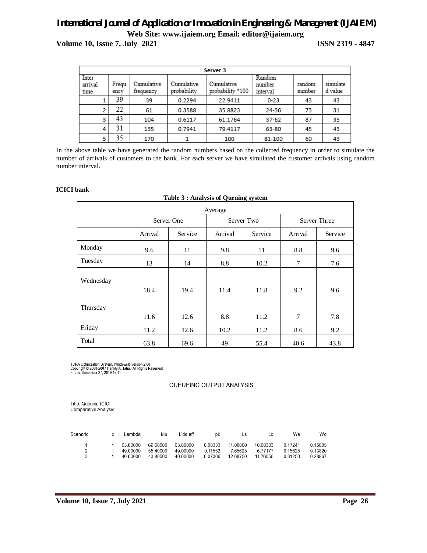**Volume 10, Issue 7, July 2021 ISSN 2319 - 4847**

|                          | Server 3      |                         |                           |                                |                              |                  |                     |  |  |  |
|--------------------------|---------------|-------------------------|---------------------------|--------------------------------|------------------------------|------------------|---------------------|--|--|--|
| Inter<br>arrival<br>time | Frequ<br>ency | Cumulative<br>frequency | Cumulative<br>probability | Cumulative<br>probability *100 | Random<br>number<br>interval | random<br>number | simulate<br>d value |  |  |  |
|                          | 39            | 39                      | 0.2294                    | 22.9411                        | $0 - 23$                     | 43               | 43                  |  |  |  |
| 2                        | 22            | 61                      | 0.3588                    | 35.8823                        | 24-36                        | 73               | 31                  |  |  |  |
| 3                        | 43            | 104                     | 0.6117                    | 61.1764                        | 37-62                        | 87               | 35                  |  |  |  |
| 4                        | 31            | 135                     | 0.7941                    | 79.4117                        | 63-80                        | 45               | 43                  |  |  |  |
| 5                        | 35            | 170                     |                           | 100                            | 81-100                       | 60               | 43                  |  |  |  |

In the above table we have generated the random numbers based on the collected frequency in order to simulate the number of arrivals of customers to the bank. For each server we have simulated the customer arrivals using random number interval.

#### **ICICI bank**

Ē

|  | Table 3 : Analysis of Queuing system |  |
|--|--------------------------------------|--|
|  |                                      |  |

| Average   |         |            |         |            |                     |         |  |  |  |
|-----------|---------|------------|---------|------------|---------------------|---------|--|--|--|
|           |         | Server One |         | Server Two | <b>Server Three</b> |         |  |  |  |
|           | Arrival | Service    | Arrival | Service    | Arrival             | Service |  |  |  |
| Monday    | 9.6     | 11         | 9.8     | 11         | 8.8                 | 9.6     |  |  |  |
| Tuesday   | 13      | 14         | 8.8     | 10.2       | 7                   | 7.6     |  |  |  |
| Wednesday | 18.4    | 19.4       | 11.4    | 11.8       | 9.2                 | 9.6     |  |  |  |
| Thursday  | 11.6    | 12.6       | 8.8     | 11.2       | $\tau$              | 7.8     |  |  |  |
| Friday    | 11.2    | 12.6       | 10.2    | 11.2       | 8.6                 | 9.2     |  |  |  |
| Total     | 63.8    | 69.6       | 49      | 55.4       | 40.6                | 43.8    |  |  |  |

TORA Optimization System, Windows®-version 2.00<br>Copyright © 2000-2007 Hamdy A. Taha. All Rights Reserved<br>Friday, December 27, 2019 15:11

#### QUEUEING OUTPUT ANALYSIS

| <b>Title: Queuing ICICI</b> |
|-----------------------------|
| <b>Comparative Analysis</b> |

| Scenario    | C. | Lambda               | Mu                   | L'da eff             | p0                 | LS.                 | La                  | Ws                 | Wa                 |
|-------------|----|----------------------|----------------------|----------------------|--------------------|---------------------|---------------------|--------------------|--------------------|
| $1 \quad 1$ |    | 63.80000             | 69.60000             | 63.80000             | 0.08333            | 11.00000            | 10.08333            | 0.17241            | 0.15805            |
|             |    | 49.00000<br>40.60000 | 55.40000<br>43.80000 | 49.00000<br>40.60000 | 0.11552<br>0.07306 | 7.65625<br>12.68750 | 6 77177<br>11.76056 | 0.15625<br>0.31250 | 0.13820<br>0.28967 |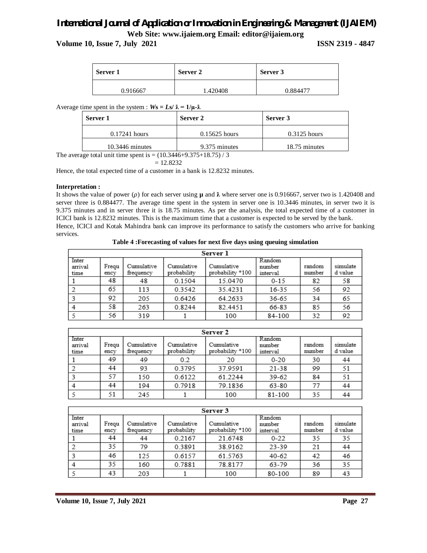#### **Volume 10, Issue 7, July 2021 ISSN 2319 - 4847**

| Server 1 | Server 2 | Server 3 |  |
|----------|----------|----------|--|
| 0.916667 | 1.420408 | በ 884477 |  |

Average time spent in the system :  $Ws = Ls / \lambda = 1/\mu \cdot \lambda$ 

| Server 1          | Server 2        | Server 3       |  |  |
|-------------------|-----------------|----------------|--|--|
| $0.17241$ hours   | $0.15625$ hours | $0.3125$ hours |  |  |
| $10.3446$ minutes | 9.375 minutes   | 18.75 minutes  |  |  |

The average total unit time spent is =  $(10.3446 + 9.375 + 18.75)$  / 3

$$
=12.8232
$$

Hence, the total expected time of a customer in a bank is 12.8232 minutes.

#### **Interpretation :**

It shows the value of power ( $\rho$ ) for each server using  $\mu$  and  $\lambda$  where server one is 0.916667, server two is 1.420408 and server three is 0.884477. The average time spent in the system in server one is 10.3446 minutes, in server two it is 9.375 minutes and in server three it is 18.75 minutes. As per the analysis, the total expected time of a customer in ICICI bank is 12.8232 minutes. This is the maximum time that a customer is expected to be served by the bank. Hence, ICICI and Kotak Mahindra bank can improve its performance to satisfy the customers who arrive for banking services.

**Table 4 :Forecasting of values for next five days using queuing simulation**

| Server 1                 |               |                         |                           |                                |                              |                  |                     |
|--------------------------|---------------|-------------------------|---------------------------|--------------------------------|------------------------------|------------------|---------------------|
| Inter<br>arrival<br>time | Frequ<br>ency | Cumulative<br>frequency | Cumulative<br>probability | Cumulative<br>probability *100 | Random<br>number<br>interval | random<br>number | simulate<br>d value |
|                          | 48            | 48                      | 0.1504                    | 15.0470                        | $0 - 15$                     | 82               | 58                  |
|                          | 65            | 113                     | 0.3542                    | 35.4231                        | 16-35                        | 56               | 92                  |
|                          | 92            | 205                     | 0.6426                    | 64.2633                        | 36-65                        | 34               | 65                  |
|                          | 58            | 263                     | 0.8244                    | 82.4451                        | 66-83                        | 85               | 56                  |
|                          | 56            | 319                     |                           | 100                            | 84-100                       | 32               | 92                  |

| Server 2                 |               |                         |                           |                                |                              |                  |                     |
|--------------------------|---------------|-------------------------|---------------------------|--------------------------------|------------------------------|------------------|---------------------|
| Inter<br>arrival<br>time | Frequ<br>ency | Cumulative<br>frequency | Cumulative<br>probability | Cumulative<br>probability *100 | Random<br>number<br>interval | random<br>number | simulate<br>d value |
|                          | 49            | 49                      | 0.2                       | 20                             | $0 - 20$                     | 30               | 44                  |
|                          | 44            | 93                      | 0.3795                    | 37.9591                        | 21-38                        | 99               | 51                  |
|                          | 57            | 150                     | 0.6122                    | 61.2244                        | 39-62                        | 84               | 51                  |
|                          | 44            | 194                     | 0.7918                    | 79.1836                        | 63-80                        | 77               | 44                  |
|                          | 51            | 245                     |                           | 100                            | 81-100                       | 35               | 44                  |

| Server 3                 |               |                         |                           |                                |                              |                  |                     |
|--------------------------|---------------|-------------------------|---------------------------|--------------------------------|------------------------------|------------------|---------------------|
| Inter<br>arrival<br>time | Frequ<br>ency | Cumulative<br>frequency | Cumulative<br>probability | Cumulative<br>probability *100 | Random<br>number<br>interval | random<br>number | simulate<br>d value |
|                          | 44            | 44                      | 0.2167                    | 21.6748                        | $0 - 22$                     | 35               | 35                  |
|                          | 35            | 79                      | 0.3891                    | 38.9162                        | 23-39                        | 21               | 44                  |
|                          | 46            | 125                     | 0.6157                    | 61.5763                        | $40 - 62$                    | 42               | 46                  |
|                          | 35            | 160                     | 0.7881                    | 78.8177                        | 63-79                        | 36               | 35                  |
|                          | 43            | 203                     |                           | 100                            | 80-100                       | 89               | 43                  |